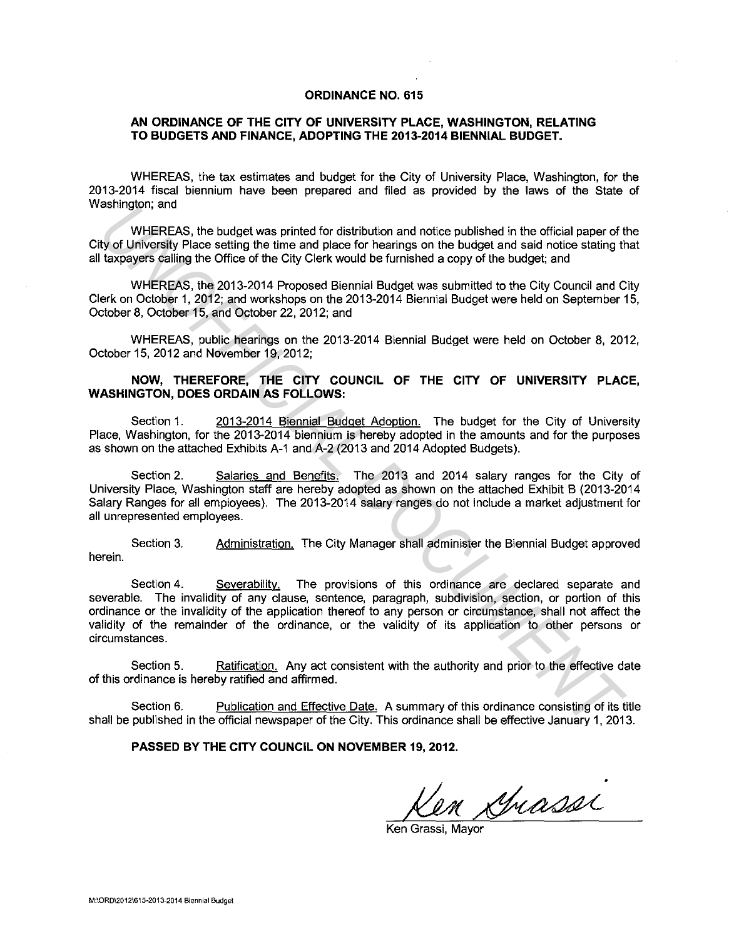#### **ORDINANCE NO. 615**

#### **AN ORDINANCE OF THE CITY OF UNIVERSITY PLACE, WASHINGTON, RELATING TO BUDGETS AND FINANCE, ADOPTING THE 2013-2014 BIENNIAL BUDGET.**

WHEREAS, the tax estimates and budget for the City of University Place, Washington, for the 2013-2014 fiscal biennium have been prepared and filed as provided by the laws of the State of Washington; and

WHEREAS, the budget was printed for distribution and notice published in the official paper of the City of University Place setting the time and place for hearings on the budget and said notice stating that all taxpayers calling the Office of the City Clerk would be furnished a copy of the budget; and

WHEREAS, the 2013-2014 Proposed Biennial Budget was submitted to the City Council and City Clerk on October 1, 2012; and workshops on the 2013-2014 Biennial Budget were held on September 15, October 8, October 15, and October 22, 2012; and

WHEREAS, public hearings on the 2013-2014 Biennial Budget were held on October 8, 2012, October 15, 2012 and November 19, 2012;

#### **NOW, THEREFORE, THE CITY COUNCIL OF THE CITY OF UNIVERSITY PLACE, WASHINGTON, DOES ORDAIN AS FOLLOWS:**

Section 1. 2013-2014 Biennial Budget Adoption. The budget for the City of University Place, Washington, for the 2013-2014 biennium is hereby adopted in the amounts and for the purposes as shown on the attached Exhibits A-1 and A-2 (2013 and 2014 Adopted Budgets).

Section 2. Salaries and Benefits. The 2013 and 2014 salary ranges for the City of University Place, Washington staff are hereby adopted as shown on the attached Exhibit B (2013-2014 Salary Ranges for all employees). The 2013-2014 salary ranges do not include a market adjustment for all unrepresented employees.

Section 3. Administration. The City Manager shall administer the Biennial Budget approved herein.

Section 4. Severability. The provisions of this ordinance are declared separate and severable. The invalidity of any clause, sentence, paragraph, subdivision, section, or portion of this ordinance or the invalidity of the application thereof to any person or circumstance, shall not affect the validity of the remainder of the ordinance, or the validity of its application to other persons or circumstances. assumgative, and the budget was primed for distribution and notice published in the official paper of thy of Whreesly Place setting the time and place for hearings on the budget and said notice stating the taxe subsets cal

Section 5. Ratification. Any act consistent with the authority and prior to the effective date of this ordinance is hereby ratified and affirmed.

Section 6. Publication and Effective Date. A summary of this ordinance consisting of its title shall be published in the official newspaper of the City. This ordinance shall be effective January 1, 2013.

#### **PASSED BY THE CITY COUNCIL ON NOVEMBER 19, 2012.**

en Spiasser

Ken Grassi, Mayor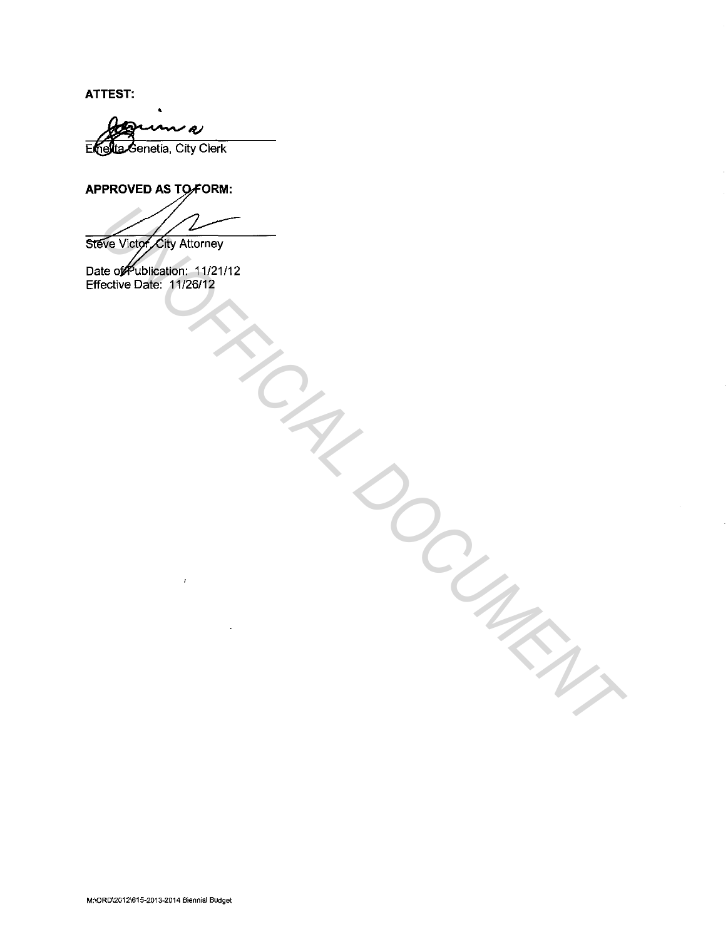**ATTEST:** 

m a Enelta Genetia, City Clerk

•

## **APPROVED AS TO FORM:**

**Eve Vice (Exp Allowrey**<br>
New York District 11212112<br>
Cocume Date: Win2612<br>
Cocument Date: Win261212<br>
Cocument Date: Windows

Date of Publication: 11/21/12 Effective Date: 11 /26/12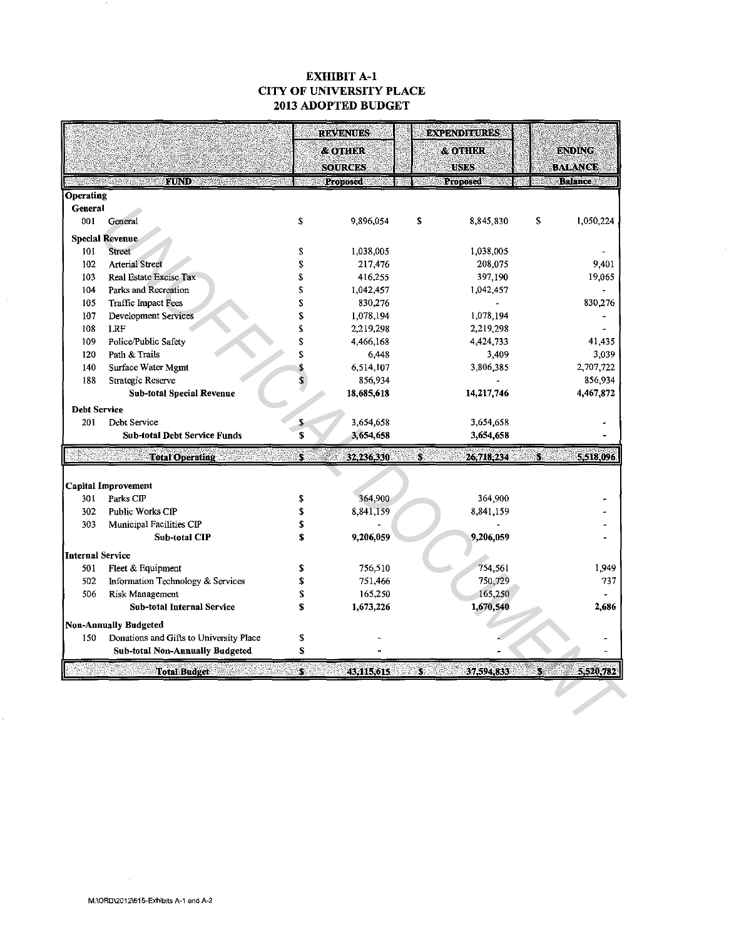### EXHIBIT A-1 CITY OF UNIVERSITY PLACE 2013 ADOPTED BUDGET

| <b>FUND</b><br>Arterial Street<br><b>Real Estate Excise Tax</b><br>Parks and Recreation<br>Traffic Impact Fees<br>Development Services<br>Police/Public Safety | \$<br>\$<br>\$<br>S<br>\$<br>\$<br>\$                                                                                                                                                          | Proposed<br>9,896,054<br>1,038,005<br>217,476<br>416,255<br>1,042,457<br>830,276 | \$                                         | <b>Proposed</b><br>8,845,830<br>1,038,005<br>208,075<br>397,190 | <b>Balance</b><br>\$<br>1,050,224<br>9.401 |  |  |  |
|----------------------------------------------------------------------------------------------------------------------------------------------------------------|------------------------------------------------------------------------------------------------------------------------------------------------------------------------------------------------|----------------------------------------------------------------------------------|--------------------------------------------|-----------------------------------------------------------------|--------------------------------------------|--|--|--|
|                                                                                                                                                                |                                                                                                                                                                                                |                                                                                  |                                            |                                                                 |                                            |  |  |  |
|                                                                                                                                                                |                                                                                                                                                                                                |                                                                                  |                                            |                                                                 |                                            |  |  |  |
|                                                                                                                                                                |                                                                                                                                                                                                |                                                                                  |                                            |                                                                 |                                            |  |  |  |
|                                                                                                                                                                |                                                                                                                                                                                                |                                                                                  |                                            |                                                                 |                                            |  |  |  |
|                                                                                                                                                                |                                                                                                                                                                                                |                                                                                  |                                            |                                                                 |                                            |  |  |  |
|                                                                                                                                                                |                                                                                                                                                                                                |                                                                                  |                                            |                                                                 |                                            |  |  |  |
|                                                                                                                                                                |                                                                                                                                                                                                |                                                                                  |                                            |                                                                 |                                            |  |  |  |
|                                                                                                                                                                |                                                                                                                                                                                                |                                                                                  |                                            |                                                                 | 19,065                                     |  |  |  |
|                                                                                                                                                                |                                                                                                                                                                                                |                                                                                  |                                            | 1,042,457                                                       |                                            |  |  |  |
|                                                                                                                                                                |                                                                                                                                                                                                |                                                                                  |                                            |                                                                 | 830,276                                    |  |  |  |
|                                                                                                                                                                |                                                                                                                                                                                                | 1,078,194                                                                        |                                            | 1,078,194                                                       |                                            |  |  |  |
|                                                                                                                                                                | S                                                                                                                                                                                              | 2,219,298                                                                        |                                            | 2,219,298                                                       |                                            |  |  |  |
|                                                                                                                                                                | \$                                                                                                                                                                                             | 4,466,168                                                                        |                                            | 4,424,733                                                       | 41 435                                     |  |  |  |
|                                                                                                                                                                | \$                                                                                                                                                                                             | 6,448                                                                            |                                            | 3,409                                                           | 3,039                                      |  |  |  |
| Surface Water Mgmt                                                                                                                                             | S                                                                                                                                                                                              | 6,514,107                                                                        |                                            | 3,806,385                                                       | 2,707,722                                  |  |  |  |
| Strategic Reserve                                                                                                                                              | \$                                                                                                                                                                                             | 856,934                                                                          |                                            |                                                                 | 856,934                                    |  |  |  |
| <b>Sub-total Special Revenue</b>                                                                                                                               |                                                                                                                                                                                                | 18,685,618                                                                       |                                            | 14,217,746                                                      | 4,467,872                                  |  |  |  |
|                                                                                                                                                                |                                                                                                                                                                                                |                                                                                  |                                            |                                                                 |                                            |  |  |  |
| 201<br>Debt Service                                                                                                                                            |                                                                                                                                                                                                | 3,654,658                                                                        |                                            | 3,654,658                                                       |                                            |  |  |  |
| <b>Sub-total Debt Service Funds</b>                                                                                                                            | S                                                                                                                                                                                              | 3,654,658                                                                        |                                            | 3,654,658                                                       |                                            |  |  |  |
| <b>Total Operating</b>                                                                                                                                         | S.                                                                                                                                                                                             | 32,236,330                                                                       | Ś.                                         | 26,718,234                                                      | 5,518,096<br>S                             |  |  |  |
|                                                                                                                                                                |                                                                                                                                                                                                |                                                                                  |                                            |                                                                 |                                            |  |  |  |
|                                                                                                                                                                |                                                                                                                                                                                                |                                                                                  |                                            |                                                                 |                                            |  |  |  |
|                                                                                                                                                                | \$                                                                                                                                                                                             | 364,900                                                                          |                                            | 364,900                                                         |                                            |  |  |  |
| Public Works CIP                                                                                                                                               | \$                                                                                                                                                                                             | 8,841,159                                                                        |                                            | 8,841,159                                                       |                                            |  |  |  |
| Municipal Facilities CIP                                                                                                                                       | \$                                                                                                                                                                                             |                                                                                  |                                            |                                                                 |                                            |  |  |  |
| Sub-total CIP                                                                                                                                                  |                                                                                                                                                                                                | 9,206,059                                                                        |                                            | 9,206,059                                                       |                                            |  |  |  |
|                                                                                                                                                                |                                                                                                                                                                                                |                                                                                  |                                            |                                                                 |                                            |  |  |  |
|                                                                                                                                                                |                                                                                                                                                                                                |                                                                                  |                                            |                                                                 | 1,949                                      |  |  |  |
|                                                                                                                                                                |                                                                                                                                                                                                |                                                                                  |                                            |                                                                 | 737                                        |  |  |  |
|                                                                                                                                                                |                                                                                                                                                                                                |                                                                                  |                                            |                                                                 |                                            |  |  |  |
| Sub-total Internal Service                                                                                                                                     | \$                                                                                                                                                                                             |                                                                                  |                                            |                                                                 | 2,686                                      |  |  |  |
|                                                                                                                                                                |                                                                                                                                                                                                |                                                                                  |                                            |                                                                 |                                            |  |  |  |
|                                                                                                                                                                |                                                                                                                                                                                                |                                                                                  |                                            |                                                                 |                                            |  |  |  |
|                                                                                                                                                                |                                                                                                                                                                                                |                                                                                  |                                            |                                                                 |                                            |  |  |  |
|                                                                                                                                                                |                                                                                                                                                                                                |                                                                                  |                                            |                                                                 |                                            |  |  |  |
| <b>Total Budget</b>                                                                                                                                            | S.                                                                                                                                                                                             | 43,115,615                                                                       | Š.                                         | 37,594,833                                                      | 5,520,782<br>S.                            |  |  |  |
|                                                                                                                                                                |                                                                                                                                                                                                |                                                                                  |                                            |                                                                 |                                            |  |  |  |
|                                                                                                                                                                |                                                                                                                                                                                                |                                                                                  |                                            |                                                                 |                                            |  |  |  |
|                                                                                                                                                                |                                                                                                                                                                                                |                                                                                  |                                            |                                                                 |                                            |  |  |  |
|                                                                                                                                                                | Fleet & Equipment<br>Information Technology & Services<br>Risk Management<br><b>Non-Annually Budgeted</b><br>Donations and Gifts to University Place<br><b>Sub-total Non-Annually Budgeted</b> | \$<br>\$<br>\$<br>S<br>\$<br>\$<br>\$                                            | 756,510<br>751,466<br>165,250<br>1,673,226 |                                                                 | 754,561<br>750,729<br>165,250<br>1,670,540 |  |  |  |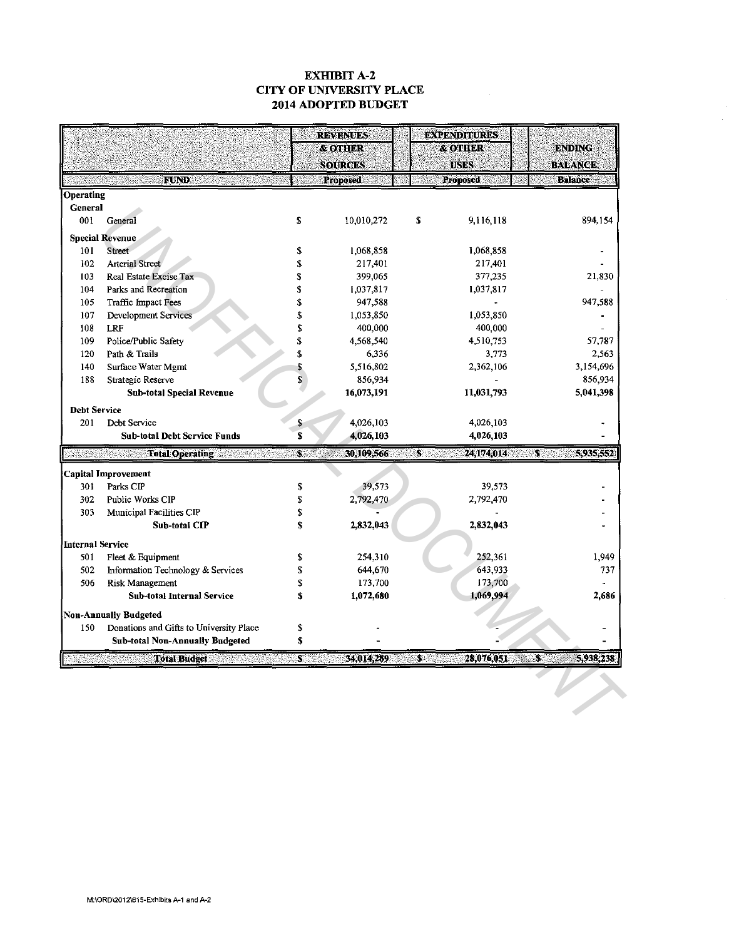### EXHIBIT A-2 CITY OF UNIVERSITY PLACE 2014 ADOPTED BUDGET

|                         |                                                             |          | <b>REVENUES</b><br><b>&amp; OTHER</b><br><b>SOURCES</b> |                 | <b>EXPENDITURES</b><br><b>&amp; OTHER</b><br><b>USES</b> | <b>ENDING</b><br><b>BALANCE</b> |  |
|-------------------------|-------------------------------------------------------------|----------|---------------------------------------------------------|-----------------|----------------------------------------------------------|---------------------------------|--|
|                         | FUND                                                        |          | Proposed                                                | <b>Proposed</b> |                                                          | <b>Balance</b>                  |  |
| Operating               |                                                             |          |                                                         |                 |                                                          |                                 |  |
| General                 |                                                             |          |                                                         |                 |                                                          |                                 |  |
| 001                     | General                                                     | S        | 10,010,272                                              | \$              | 9,116,118                                                | 894,154                         |  |
|                         | <b>Special Revenue</b>                                      |          |                                                         |                 |                                                          |                                 |  |
| 101                     | Street                                                      | \$       | 1,068,858                                               |                 | 1,068,858                                                |                                 |  |
| 102                     | <b>Arterial Street</b>                                      | S        | 217,401                                                 |                 | 217,401                                                  |                                 |  |
| 103                     | Real Estate Excise Tax                                      | \$       | 399,065                                                 |                 | 377,235                                                  | 21,830                          |  |
| 104                     | Parks and Recreation                                        | \$       | 1,037,817                                               |                 | 1,037,817                                                |                                 |  |
| 105                     | Traffic Impact Fees                                         | \$       | 947,588                                                 |                 |                                                          | 947,588                         |  |
| 107                     | Development Services                                        | \$       | 1,053,850                                               |                 | 1,053,850                                                |                                 |  |
| 108                     | <b>LRF</b>                                                  | \$       | 400,000                                                 |                 | 400,000                                                  |                                 |  |
| 109                     | Police/Public Safety                                        | \$       | 4,568,540                                               |                 | 4,510,753                                                | 57.787                          |  |
| 120                     | Path & Trails                                               | \$       | 6,336                                                   |                 | 3,773                                                    | 2,563                           |  |
| 140                     | Surface Water Mgmt                                          | \$       | 5,516,802                                               |                 | 2,362,106                                                | 3,154,696                       |  |
| 188                     | Strategic Reserve                                           | \$       | 856,934                                                 |                 |                                                          | 856,934                         |  |
|                         | Sub-total Special Revenue                                   |          | 16,073,191                                              |                 | 11,031,793                                               | 5,041,398                       |  |
| <b>Debt Service</b>     |                                                             |          |                                                         |                 |                                                          |                                 |  |
| 201                     | Debt Service                                                | \$       | 4,026,103                                               |                 | 4,026,103                                                |                                 |  |
|                         | Sub-total Debt Service Funds                                | S        | 4,026,103                                               |                 | 4,026,103                                                |                                 |  |
|                         | <b>Total Operating</b>                                      | S.       | 30,109,566                                              | $\mathbf{s}$    | 24,174,014                                               | $\sim$<br>5,935,552             |  |
|                         | <b>Capital Improvement</b>                                  |          |                                                         |                 |                                                          |                                 |  |
| 301                     | Parks CIP                                                   | \$       | 39,573                                                  |                 | 39,573                                                   |                                 |  |
| 302                     | Public Works CIP                                            | S        | 2,792,470                                               |                 | 2,792,470                                                |                                 |  |
| 303                     | Municipal Facilities CIP                                    | \$       |                                                         |                 |                                                          |                                 |  |
|                         | Sub-total CIP                                               | \$       | 2,832,043                                               |                 | 2,832,043                                                |                                 |  |
|                         |                                                             |          |                                                         |                 |                                                          |                                 |  |
| <b>Internal Service</b> |                                                             |          |                                                         |                 | 252,361                                                  | 1,949                           |  |
| 501<br>502              | Fleet & Equipment                                           | \$<br>\$ | 254,310                                                 |                 | 643,933                                                  | 737                             |  |
| 506                     | Information Technology & Services                           | \$       | 644,670<br>173,700                                      |                 | 173,700                                                  |                                 |  |
|                         | <b>Risk Management</b><br><b>Sub-total Internal Service</b> | \$       |                                                         |                 | 1,069,994                                                | 2,686                           |  |
|                         |                                                             |          | 1,072,680                                               |                 |                                                          |                                 |  |
|                         | <b>Non-Annually Budgeted</b>                                |          |                                                         |                 |                                                          |                                 |  |
| 150                     | Donations and Gifts to University Place                     | \$       |                                                         |                 |                                                          |                                 |  |
|                         | <b>Sub-total Non-Annually Budgeted</b>                      | \$       |                                                         |                 |                                                          |                                 |  |
|                         | <b>Total Budget</b>                                         | S.       | 34,014,289                                              | $\mathbf{S}$    | 28,076,051                                               | $\mathbf{S}$<br>5,938,238       |  |
|                         |                                                             |          |                                                         |                 |                                                          |                                 |  |